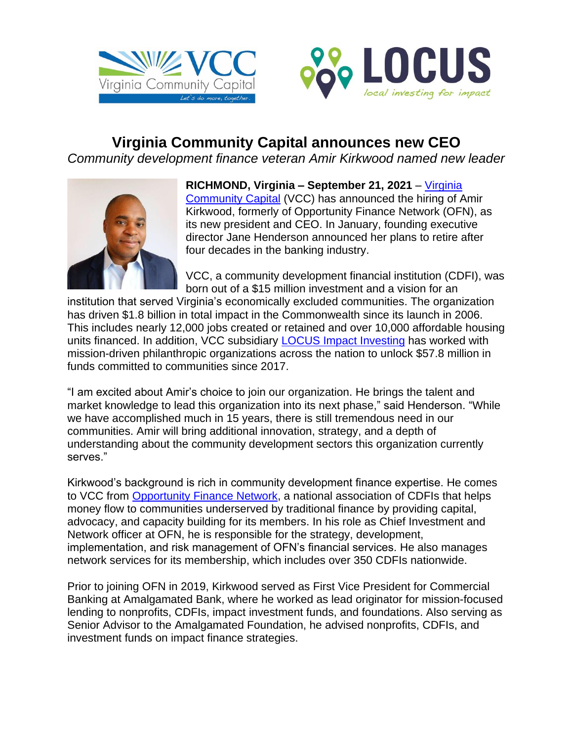



## **Virginia Community Capital announces new CEO**

*Community development finance veteran Amir Kirkwood named new leader*



**RICHMOND, Virginia – September 21, 2021** – [Virginia](http://www.vacommunitycapital.org/)  [Community Capital](http://www.vacommunitycapital.org/) (VCC) has announced the hiring of Amir Kirkwood, formerly of Opportunity Finance Network (OFN), as its new president and CEO. In January, founding executive director Jane Henderson announced her plans to retire after four decades in the banking industry.

VCC, a community development financial institution (CDFI), was born out of a \$15 million investment and a vision for an

institution that served Virginia's economically excluded communities. The organization has driven \$1.8 billion in total impact in the Commonwealth since its launch in 2006. This includes nearly 12,000 jobs created or retained and over 10,000 affordable housing units financed. In addition, VCC subsidiary **LOCUS Impact Investing has worked with** mission-driven philanthropic organizations across the nation to unlock \$57.8 million in funds committed to communities since 2017.

"I am excited about Amir's choice to join our organization. He brings the talent and market knowledge to lead this organization into its next phase," said Henderson. "While we have accomplished much in 15 years, there is still tremendous need in our communities. Amir will bring additional innovation, strategy, and a depth of understanding about the community development sectors this organization currently serves."

Kirkwood's background is rich in community development finance expertise. He comes to VCC from [Opportunity Finance Network,](https://ofn.org/) a national association of CDFIs that helps money flow to communities underserved by traditional finance by providing capital, advocacy, and capacity building for its members. In his role as Chief Investment and Network officer at OFN, he is responsible for the strategy, development, implementation, and risk management of OFN's financial services. He also manages network services for its membership, which includes over 350 CDFIs nationwide.

Prior to joining OFN in 2019, Kirkwood served as First Vice President for Commercial Banking at Amalgamated Bank, where he worked as lead originator for mission-focused lending to nonprofits, CDFIs, impact investment funds, and foundations. Also serving as Senior Advisor to the Amalgamated Foundation, he advised nonprofits, CDFIs, and investment funds on impact finance strategies.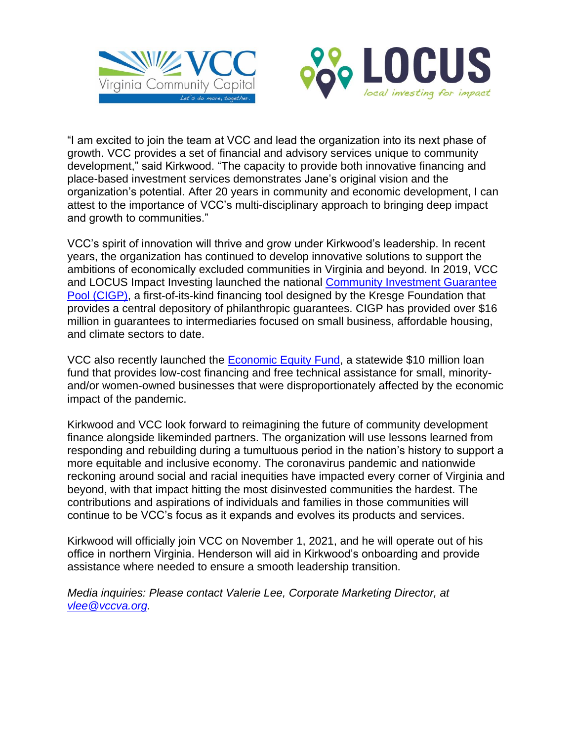



"I am excited to join the team at VCC and lead the organization into its next phase of growth. VCC provides a set of financial and advisory services unique to community development," said Kirkwood. "The capacity to provide both innovative financing and place-based investment services demonstrates Jane's original vision and the organization's potential. After 20 years in community and economic development, I can attest to the importance of VCC's multi-disciplinary approach to bringing deep impact and growth to communities."

VCC's spirit of innovation will thrive and grow under Kirkwood's leadership. In recent years, the organization has continued to develop innovative solutions to support the ambitions of economically excluded communities in Virginia and beyond. In 2019, VCC and LOCUS Impact Investing launched the national [Community Investment Guarantee](https://www.guaranteepool.org/)  [Pool \(CIGP\),](https://www.guaranteepool.org/) a first-of-its-kind financing tool designed by the Kresge Foundation that provides a central depository of philanthropic guarantees. CIGP has provided over \$16 million in guarantees to intermediaries focused on small business, affordable housing, and climate sectors to date.

VCC also recently launched the **Economic Equity Fund**, a statewide \$10 million loan fund that provides low-cost financing and free technical assistance for small, minorityand/or women-owned businesses that were disproportionately affected by the economic impact of the pandemic.

Kirkwood and VCC look forward to reimagining the future of community development finance alongside likeminded partners. The organization will use lessons learned from responding and rebuilding during a tumultuous period in the nation's history to support a more equitable and inclusive economy. The coronavirus pandemic and nationwide reckoning around social and racial inequities have impacted every corner of Virginia and beyond, with that impact hitting the most disinvested communities the hardest. The contributions and aspirations of individuals and families in those communities will continue to be VCC's focus as it expands and evolves its products and services.

Kirkwood will officially join VCC on November 1, 2021, and he will operate out of his office in northern Virginia. Henderson will aid in Kirkwood's onboarding and provide assistance where needed to ensure a smooth leadership transition.

*Media inquiries: Please contact Valerie Lee, Corporate Marketing Director, at [vlee@vccva.org.](mailto:vlee@vccva.org)*